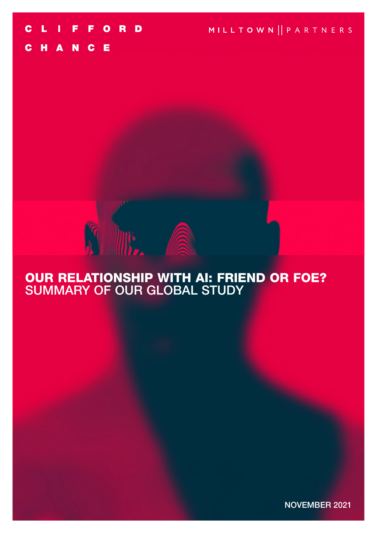

# OUR RELATIONSHIP WITH AI: FRIEND OR FOE? SUMMARY OF OUR GLOBAL STUDY

 $\mathbb{R}$ 

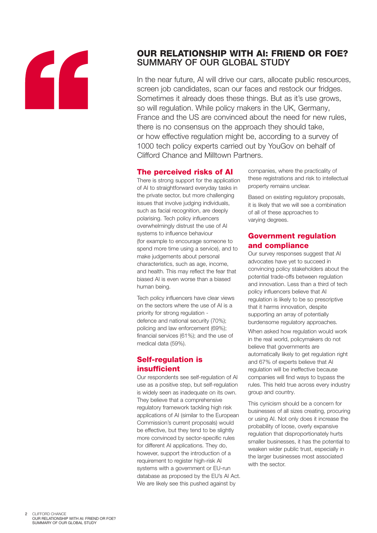

## OUR RELATIONSHIP WITH AI: FRIEND OR FOE? SUMMARY OF OUR GLOBAL STUDY

In the near future, AI will drive our cars, allocate public resources, screen job candidates, scan our faces and restock our fridges. Sometimes it already does these things. But as it's use grows, so will regulation. While policy makers in the UK, Germany, France and the US are convinced about the need for new rules, there is no consensus on the approach they should take, or how effective regulation might be, according to a survey of 1000 tech policy experts carried out by YouGov on behalf of Clifford Chance and Milltown Partners.

#### The perceived risks of AI

There is strong support for the application of AI to straightforward everyday tasks in the private sector, but more challenging issues that involve judging individuals, such as facial recognition, are deeply polarising. Tech policy influencers overwhelmingly distrust the use of AI systems to influence behaviour (for example to encourage someone to spend more time using a service), and to make judgements about personal characteristics, such as age, income, and health. This may reflect the fear that biased AI is even worse than a biased human being.

Tech policy influencers have clear views on the sectors where the use of AI is a priority for strong regulation defence and national security (70%); policing and law enforcement (69%); financial services (61%); and the use of medical data (59%).

### Self-regulation is insufficient

Our respondents see self-regulation of AI use as a positive step, but self-regulation is widely seen as inadequate on its own. They believe that a comprehensive regulatory framework tackling high risk applications of AI (similar to the European Commission's current proposals) would be effective, but they tend to be slightly more convinced by sector-specific rules for different AI applications. They do, however, support the introduction of a requirement to register high-risk AI systems with a government or EU-run database as proposed by the EU's AI Act. We are likely see this pushed against by

companies, where the practicality of these registrations and risk to intellectual property remains unclear.

Based on existing regulatory proposals, it is likely that we will see a combination of all of these approaches to varying degrees.

### Government regulation and compliance

Our survey responses suggest that AI advocates have yet to succeed in convincing policy stakeholders about the potential trade-offs between regulation and innovation. Less than a third of tech policy influencers believe that AI regulation is likely to be so prescriptive that it harms innovation, despite supporting an array of potentially burdensome regulatory approaches.

When asked how regulation would work in the real world, policymakers do not believe that governments are automatically likely to get regulation right and 67% of experts believe that AI regulation will be ineffective because companies will find ways to bypass the rules. This held true across every industry group and country.

This cynicism should be a concern for businesses of all sizes creating, procuring or using AI. Not only does it increase the probability of loose, overly expansive regulation that disproportionately hurts smaller businesses, it has the potential to weaken wider public trust, especially in the larger businesses most associated with the sector.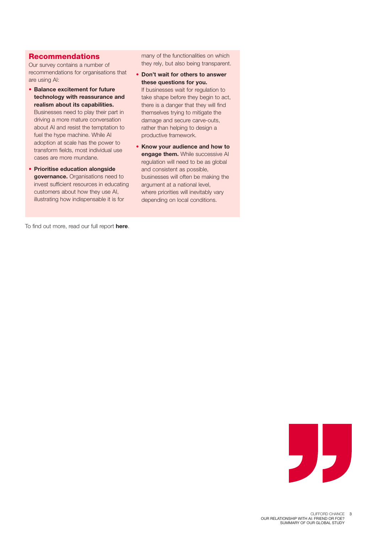#### Recommendations

Our survey contains a number of recommendations for organisations that are using AI:

• Balance excitement for future technology with reassurance and realism about its capabilities.

Businesses need to play their part in driving a more mature conversation about AI and resist the temptation to fuel the hype machine. While AI adoption at scale has the power to transform fields, most individual use cases are more mundane.

• Prioritise education alongside governance. Organisations need to invest sufficient resources in educating customers about how they use AI, illustrating how indispensable it is for

many of the functionalities on which they rely, but also being transparent.

• Don't wait for others to answer these questions for you.

If businesses wait for regulation to take shape before they begin to act, there is a danger that they will find themselves trying to mitigate the damage and secure carve-outs, rather than helping to design a productive framework.

• Know your audience and how to engage them. While successive AI regulation will need to be as global and consistent as possible, businesses will often be making the argument at a national level, where priorities will inevitably vary depending on local conditions.

To find out more, read our full report [here](https://www.cliffordchance.com/content/dam/cliffordchance/hub/TechGroup/clifford-chance-milltown-partners-ai-report-2021.pdf).

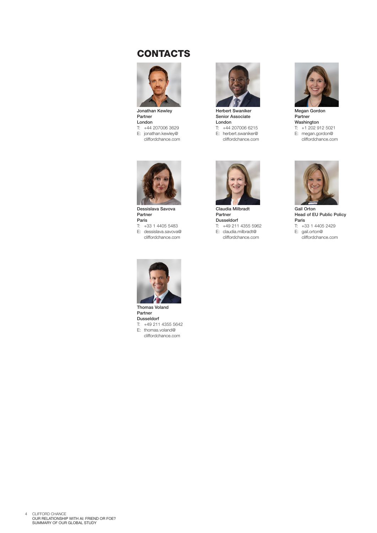# **CONTACTS**



Jonathan Kewley Partner London T: +44 207006 3629 E: jonathan.kewley@ cliffordchance.com



Senior Associate London T: +44 207006 6215 E: herbert.swaniker@ cliffordchance.com



Dessislava Savova Partner Paris

T: +33 1 4405 5483 E: dessislava.savova@ cliffordchance.com



Claudia Milbradt Partner Dusseldorf T: +49 211 4355 5962 E: claudia.milbradt@ cliffordchance.com



Megan Gordon Partner Washington T: +1 202 912 5021 E: megan.gordon@ cliffordchance.com

Gail Orton Head of EU Public Policy Paris

T: +33 1 4405 2429

E: gail.orton@ cliffordchance.com



Partner Dusseldorf T: +49 211 4355 5642 E: thomas.voland@ cliffordchance.com